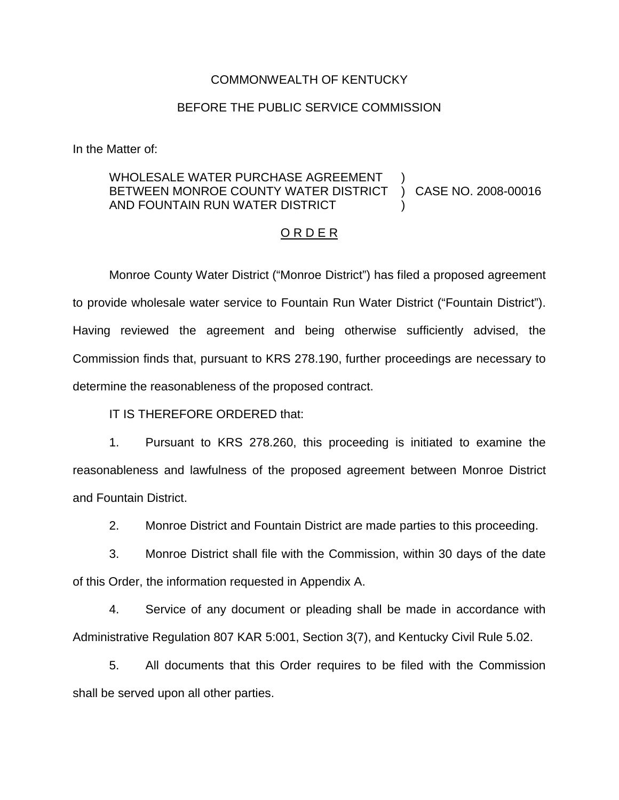#### COMMONWEALTH OF KENTUCKY

## BEFORE THE PUBLIC SERVICE COMMISSION

In the Matter of:

#### WHOLESALE WATER PURCHASE AGREEMENT BETWEEN MONROE COUNTY WATER DISTRICT AND FOUNTAIN RUN WATER DISTRICT ) ) CASE NO. 2008-00016 )

## O R D E R

Monroe County Water District ("Monroe District") has filed a proposed agreement to provide wholesale water service to Fountain Run Water District ("Fountain District"). Having reviewed the agreement and being otherwise sufficiently advised, the Commission finds that, pursuant to KRS 278.190, further proceedings are necessary to determine the reasonableness of the proposed contract.

IT IS THEREFORE ORDERED that:

1. Pursuant to KRS 278.260, this proceeding is initiated to examine the reasonableness and lawfulness of the proposed agreement between Monroe District and Fountain District.

2. Monroe District and Fountain District are made parties to this proceeding.

3. Monroe District shall file with the Commission, within 30 days of the date of this Order, the information requested in Appendix A.

4. Service of any document or pleading shall be made in accordance with Administrative Regulation 807 KAR 5:001, Section 3(7), and Kentucky Civil Rule 5.02.

5. All documents that this Order requires to be filed with the Commission shall be served upon all other parties.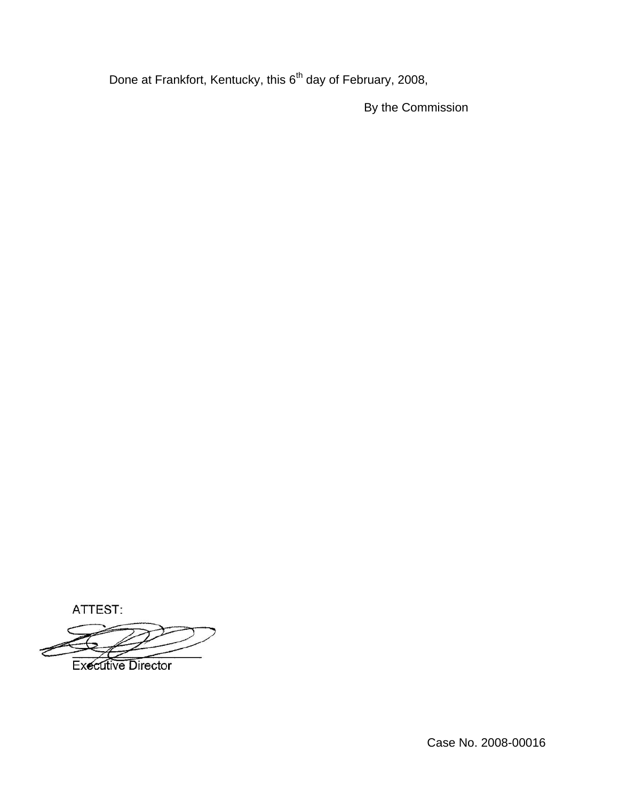Done at Frankfort, Kentucky, this 6<sup>th</sup> day of February, 2008,

By the Commission

ATTEST:

**Executive Director** 

Case No. 2008-00016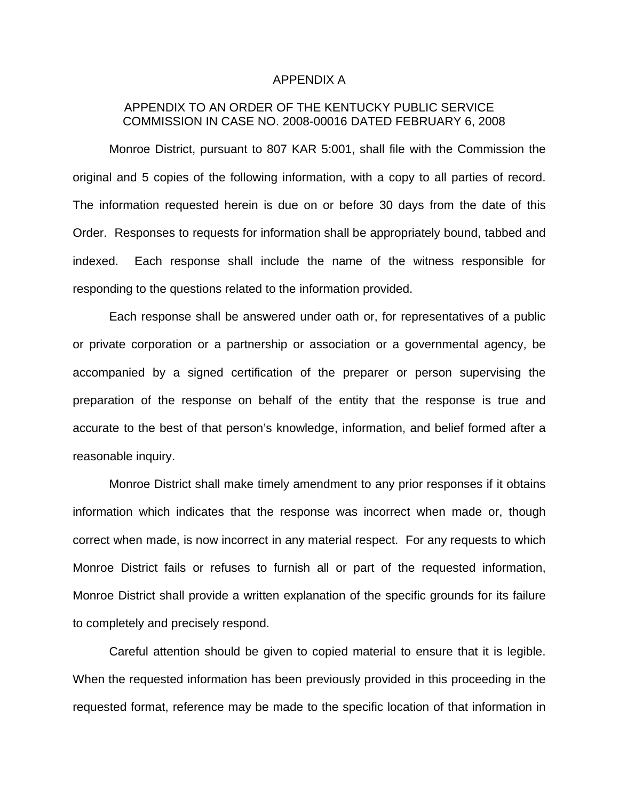#### APPENDIX A

# APPENDIX TO AN ORDER OF THE KENTUCKY PUBLIC SERVICE COMMISSION IN CASE NO. 2008-00016 DATED FEBRUARY 6, 2008

Monroe District, pursuant to 807 KAR 5:001, shall file with the Commission the original and 5 copies of the following information, with a copy to all parties of record. The information requested herein is due on or before 30 days from the date of this Order. Responses to requests for information shall be appropriately bound, tabbed and indexed. Each response shall include the name of the witness responsible for responding to the questions related to the information provided.

Each response shall be answered under oath or, for representatives of a public or private corporation or a partnership or association or a governmental agency, be accompanied by a signed certification of the preparer or person supervising the preparation of the response on behalf of the entity that the response is true and accurate to the best of that person's knowledge, information, and belief formed after a reasonable inquiry.

Monroe District shall make timely amendment to any prior responses if it obtains information which indicates that the response was incorrect when made or, though correct when made, is now incorrect in any material respect. For any requests to which Monroe District fails or refuses to furnish all or part of the requested information, Monroe District shall provide a written explanation of the specific grounds for its failure to completely and precisely respond.

Careful attention should be given to copied material to ensure that it is legible. When the requested information has been previously provided in this proceeding in the requested format, reference may be made to the specific location of that information in